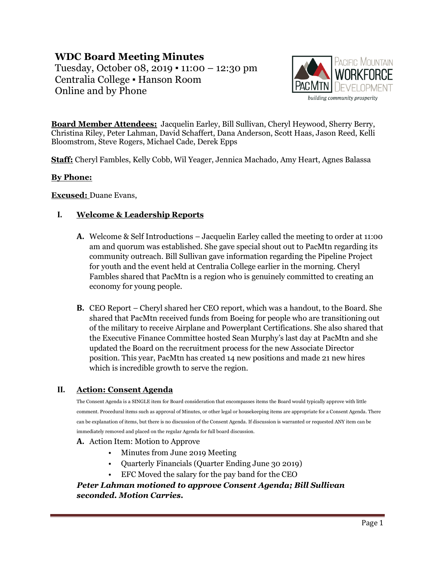# **WDC Board Meeting Minutes**

Tuesday, October 08, 2019 ▪ 11:00 – 12:30 pm Centralia College ▪ Hanson Room Online and by Phone



**Board Member Attendees:** Jacquelin Earley, Bill Sullivan, Cheryl Heywood, Sherry Berry, Christina Riley, Peter Lahman, David Schaffert, Dana Anderson, Scott Haas, Jason Reed, Kelli Bloomstrom, Steve Rogers, Michael Cade, Derek Epps

**Staff:** Cheryl Fambles, Kelly Cobb, Wil Yeager, Jennica Machado, Amy Heart, Agnes Balassa

### **By Phone:**

**Excused:** Duane Evans,

## **I. Welcome & Leadership Reports**

- **A.** Welcome & Self Introductions Jacquelin Earley called the meeting to order at 11:00 am and quorum was established. She gave special shout out to PacMtn regarding its community outreach. Bill Sullivan gave information regarding the Pipeline Project for youth and the event held at Centralia College earlier in the morning. Cheryl Fambles shared that PacMtn is a region who is genuinely committed to creating an economy for young people.
- **B.** CEO Report Cheryl shared her CEO report, which was a handout, to the Board. She shared that PacMtn received funds from Boeing for people who are transitioning out of the military to receive Airplane and Powerplant Certifications. She also shared that the Executive Finance Committee hosted Sean Murphy's last day at PacMtn and she updated the Board on the recruitment process for the new Associate Director position. This year, PacMtn has created 14 new positions and made 21 new hires which is incredible growth to serve the region.

## **II. Action: Consent Agenda**

The Consent Agenda is a SINGLE item for Board consideration that encompasses items the Board would typically approve with little comment. Procedural items such as approval of Minutes, or other legal or housekeeping items are appropriate for a Consent Agenda. There can be explanation of items, but there is no discussion of the Consent Agenda. If discussion is warranted or requested ANY item can be immediately removed and placed on the regular Agenda for full board discussion.

#### **A.** Action Item: Motion to Approve

- Minutes from June 2019 Meeting
- Quarterly Financials (Quarter Ending June 30 2019)
- EFC Moved the salary for the pay band for the CEO

*Peter Lahman motioned to approve Consent Agenda; Bill Sullivan seconded. Motion Carries.*